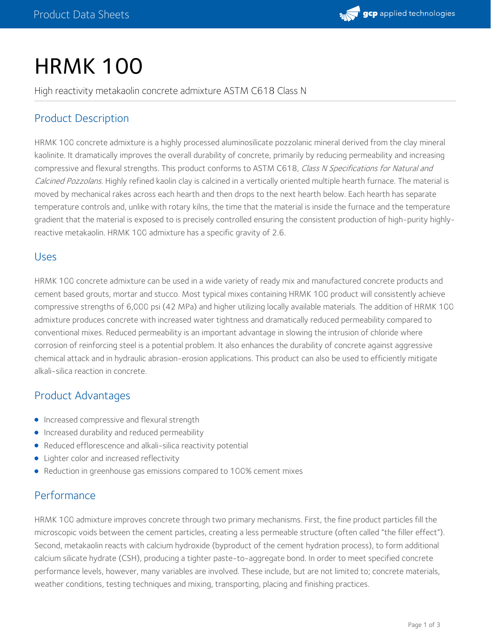

# **HRMK 100**

High reactivity metakaolin concrete admixture ASTM C618 Class N

## Product Description

HRMK 100 concrete admixture is a highly processed aluminosilicate pozzolanic mineral derived from the clay mineral kaolinite. It dramatically improves the overall durability of concrete, primarily by reducing permeability and increasing compressive and flexural strengths. This product conforms to ASTM C618, Class N Specifications for Natural and Calcined Pozzolans. Highly refined kaolin clay is calcined in a vertically oriented multiple hearth furnace. The material is moved by mechanical rakes across each hearth and then drops to the next hearth below. Each hearth has separate temperature controls and, unlike with rotary kilns, the time that the material is inside the furnace and the temperature gradient that the material is exposed to is precisely controlled ensuring the consistent production of high-purity highlyreactive metakaolin. HRMK 100 admixture has a specific gravity of 2.6.

#### Uses

HRMK 100 concrete admixture can be used in a wide variety of ready mix and manufactured concrete products and cement based grouts, mortar and stucco. Most typical mixes containing HRMK 100 product will consistently achieve compressive strengths of 6,000 psi (42 MPa) and higher utilizing locally available materials. The addition of HRMK 100 admixture produces concrete with increased water tightness and dramatically reduced permeability compared to conventional mixes. Reduced permeability is an important advantage in slowing the intrusion of chloride where corrosion of reinforcing steel is a potential problem. It also enhances the durability of concrete against aggressive chemical attack and in hydraulic abrasion-erosion applications. This product can also be used to efficiently mitigate alkali-silica reaction in concrete.

#### Product Advantages

- **Increased compressive and flexural strength**
- **Increased durability and reduced permeability**
- Reduced efflorescence and alkali-silica reactivity potential
- Lighter color and increased reflectivity
- Reduction in greenhouse gas emissions compared to 100% cement mixes

#### Performance

HRMK 100 admixture improves concrete through two primary mechanisms. First, the fine product particles fill the microscopic voids between the cement particles, creating a less permeable structure (often called "the filler effect"). Second, metakaolin reacts with calcium hydroxide (byproduct of the cement hydration process), to form additional calcium silicate hydrate (CSH), producing a tighter paste-to-aggregate bond. In order to meet specified concrete performance levels, however, many variables are involved. These include, but are not limited to; concrete materials, weather conditions, testing techniques and mixing, transporting, placing and finishing practices.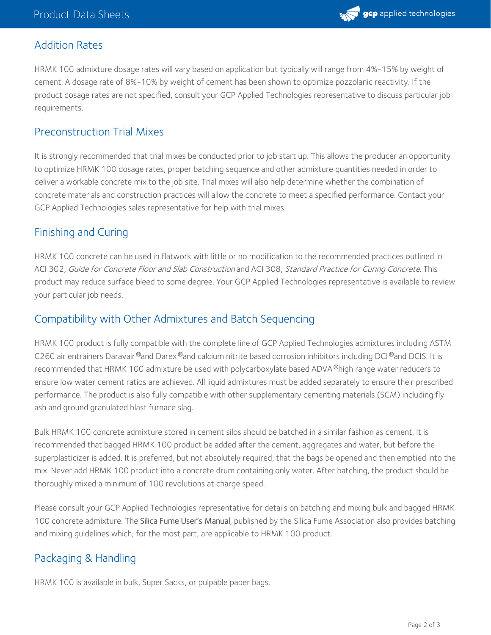

#### Addition Rates

HRMK 100 admixture dosage rates will vary based on application but typically will range from 4%-15% by weight of cement. A dosage rate of 8%-10% by weight of cement has been shown to optimize pozzolanic reactivity. If the product dosage rates are not specified, consult your GCP Applied Technologies representative to discuss particular job requirements.

#### Preconstruction Trial Mixes

It is strongly recommended that trial mixes be conducted prior to job start up. This allows the producer an opportunity to optimize HRMK 100 dosage rates, proper batching sequence and other admixture quantities needed in order to deliver a workable concrete mix to the job site. Trial mixes will also help determine whether the combination of concrete materials and construction practices will allow the concrete to meet a specified performance. Contact your GCP Applied Technologies sales representative for help with trial mixes.

#### Finishing and Curing

HRMK 100 concrete can be used in flatwork with little or no modification to the recommended practices outlined in ACI 302, Guide for Concrete Floor and Slab Construction and ACI 308, Standard Practice for Curing Concrete. This product may reduce surface bleed to some degree. Your GCP Applied Technologies representative is available to review your particular job needs.

#### Compatibility with Other Admixtures and Batch Sequencing

HRMK 100 product is fully compatible with the complete line of GCP Applied Technologies admixtures including ASTM C260 air entrainers Daravair®and Darex®and calcium nitrite based corrosion inhibitors including DCI®and DCIS. It is recommended that HRMK 100 admixture be used with polycarboxylate based ADVA  $^\circ$ high range water reducers to ensure low water cement ratios are achieved. All liquid admixtures must be added separately to ensure their prescribed performance. The product is also fully compatible with other supplementary cementing materials (SCM) including fly ash and ground granulated blast furnace slag.

Bulk HRMK 100 concrete admixture stored in cement silos should be batched in a similar fashion as cement. It is recommended that bagged HRMK 100 product be added after the cement, aggregates and water, but before the superplasticizer is added. It is preferred, but not absolutely required, that the bags be opened and then emptied into the mix. Never add HRMK 100 product into a concrete drum containing only water. After batching, the product should be thoroughly mixed a minimum of 100 revolutions at charge speed.

Please consult your GCP Applied Technologies representative for details on batching and mixing bulk and bagged HRMK 100 concrete admixture. The Silica Fume User's Manual, published by the Silica Fume Association also provides batching and mixing guidelines which, for the most part, are applicable to HRMK 100 product.

### Packaging & Handling

HRMK 100 is available in bulk, Super Sacks, or pulpable paper bags.